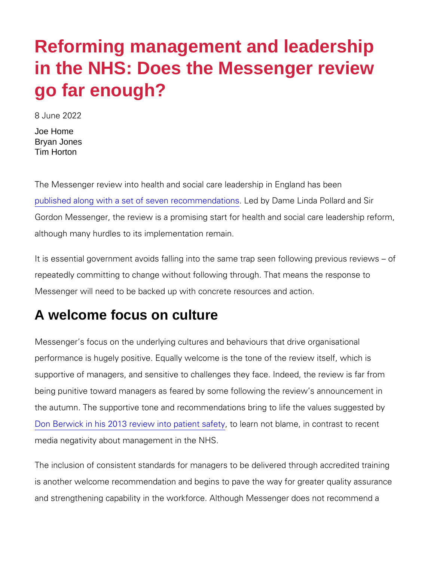## Reforming management and leadership in the NHS: Does the Messenger review go far enough?

8 June 2022

Joe Home Bryan Jones Tim Horton

The Messenger review into health and social care leadership in E [published along with a set of seve](https://www.gov.uk/government/publications/health-and-social-care-review-leadership-for-a-collaborative-and-inclusive-future?utm_medium=email&utm_campaign=govuk-notifications-topic&utm_source=fc5738be-b774-4112-833e-f716accc1228&utm_content=immediately)n Lreed coby mDearmdeatlionnosa Pollard and Gordon Messenger, the review is a promising start for health and although many hurdles to its implementation remain.

It is essential government avoids falling into the same trap seen repeatedly committing to change without following through. That r Messenger will need to be backed up with concrete resources and

## A welcome focus on culture

Messenger s focus on the underlying cultures and behaviours that performance is hugely positive. Equally welcome is the tone of th supportive of managers, and sensitive to challenges they face. In being punitive toward managers as feared by some following the r the autumn. The supportive tone and recommendations bring to lif [Don Berwick in his 2013 review](https://assets.publishing.service.gov.uk/government/uploads/system/uploads/attachment_data/file/226703/Berwick_Report.pdf), into pation bts blame, in contrast to media negativity about management in the NHS.

The inclusion of consistent standards for managers to be delivere is another welcome recommendation and begins to pave the way f and strengthening capability in the workforce. Although Messenge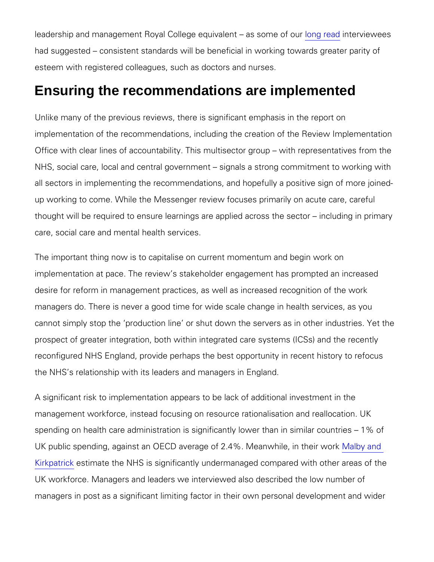leadership and management Royal College ed**onyalreenatd**eravisesweemes o had suggested consistent standards will be beneficial in working esteem with registered colleagues, such as doctors and nurses.

## Ensuring the recommendations are implemented

Unlike many of the previous reviews, there is significant emphasi implementation of the recommendations, including the creation of Office with clear lines of accountability. This multisector group NHS, social care, local and central government signals a strong all sectors in implementing the recommendations, and hopefully a up working to come. While the Messenger review focuses primaril thought will be required to ensure learnings are applied across the care, social care and mental health services.

The important thing now is to capitalise on current momentum and implementation at pace. The review s stakeholder engagement has desire for reform in management practices, as well as increased i managers do. There is never a good time for wide scale change in cannot simply stop the production line or shut down the servers prospect of greater integration, both within integrated care syste reconfigured NHS England, provide perhaps the best opportunity in the NHS s relationship with its leaders and managers in England.

A significant risk to implementation appears to be lack of addition management workforce, instead focusing on resource rationalisati spending on health care administration is significantly lower than UK public spending, against an OE CMDe aanwehreheefter 2.044. MacAs by and [Kirkpa](https://www.nhsconfed.org/long-reads/nhs-overmanaged)trick mate the NHS is significantly undermanaged compared UK workforce. Managers and leaders we interviewed also describe managers in post as a significant limiting factor in their own pers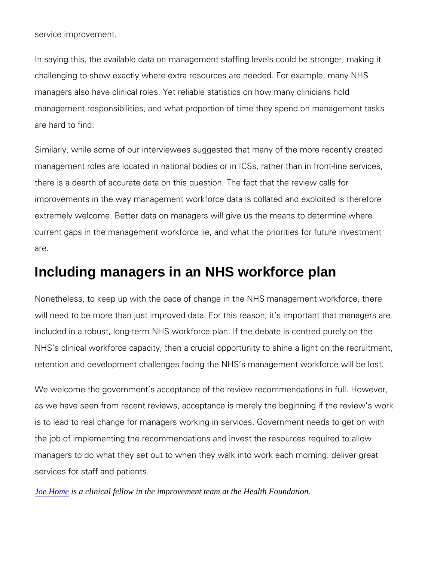service improvement.

In saying this, the available data on management staffing levels o challenging to show exactly where extra resources are needed. For managers also have clinical roles. Yet reliable statistics on how management responsibilities, and what proportion of time they sp are hard to find.

Similarly, while some of our interviewees suggested that many of management roles are located in national bodies or in ICSs, rathe there is a dearth of accurate data on this question. The fact that improvements in the way management workforce data is collated a extremely welcome. Better data on managers will give us the mea current gaps in the management workforce lie, and what the prior are.

## Including managers in an NHS workforce plan

Nonetheless, to keep up with the pace of change in the NHS mana will need to be more than just improved data. For this reason, it included in a robust, long-term NHS workforce plan. If the debate NHS s clinical workforce capacity, then a crucial opportunity to s retention and development challenges facing the NHS s manageme

We welcome the government s acceptance of the review recommer as we have seen from recent reviews, acceptance is merely the be is to lead to real change for managers working in services. Gover the job of implementing the recommendations and invest the resor managers to do what they set out to when they walk into work each managers to do what they set out to when they services for staff and patients.

[Joe Hom](https://www.health.org.uk/fellow/joe-home)es a clinical fellow in the improvement team at the Health Foundation.